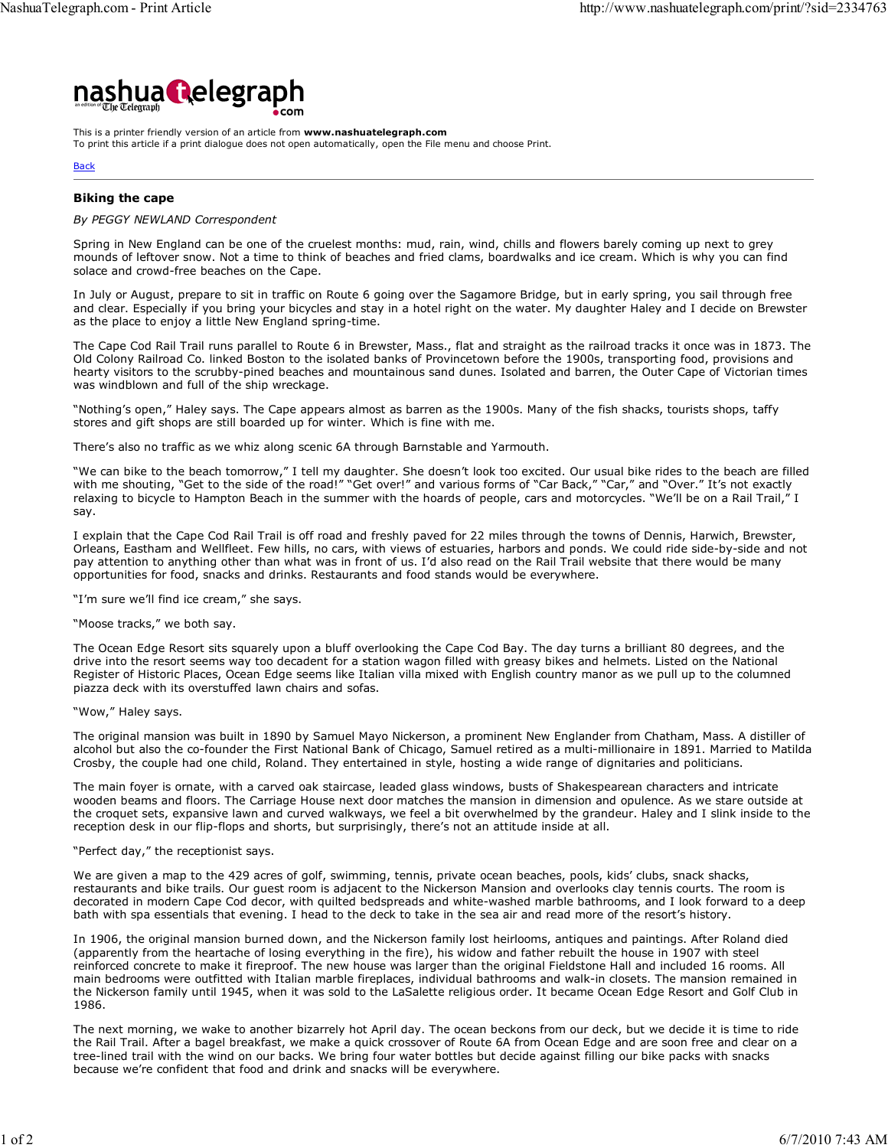

This is a printer friendly version of an article from www.nashuatelegraph.com To print this article if a print dialogue does not open automatically, open the File menu and choose Print.

## **Back**

# Biking the cape

# By PEGGY NEWLAND Correspondent

Spring in New England can be one of the cruelest months: mud, rain, wind, chills and flowers barely coming up next to grey mounds of leftover snow. Not a time to think of beaches and fried clams, boardwalks and ice cream. Which is why you can find solace and crowd-free beaches on the Cape.

In July or August, prepare to sit in traffic on Route 6 going over the Sagamore Bridge, but in early spring, you sail through free and clear. Especially if you bring your bicycles and stay in a hotel right on the water. My daughter Haley and I decide on Brewster as the place to enjoy a little New England spring-time.

The Cape Cod Rail Trail runs parallel to Route 6 in Brewster, Mass., flat and straight as the railroad tracks it once was in 1873. The Old Colony Railroad Co. linked Boston to the isolated banks of Provincetown before the 1900s, transporting food, provisions and hearty visitors to the scrubby-pined beaches and mountainous sand dunes. Isolated and barren, the Outer Cape of Victorian times was windblown and full of the ship wreckage.

"Nothing's open," Haley says. The Cape appears almost as barren as the 1900s. Many of the fish shacks, tourists shops, taffy stores and gift shops are still boarded up for winter. Which is fine with me.

There's also no traffic as we whiz along scenic 6A through Barnstable and Yarmouth.

"We can bike to the beach tomorrow," I tell my daughter. She doesn't look too excited. Our usual bike rides to the beach are filled with me shouting, "Get to the side of the road!" "Get over!" and various forms of "Car Back," "Car," and "Over." It's not exactly relaxing to bicycle to Hampton Beach in the summer with the hoards of people, cars and motorcycles. "We'll be on a Rail Trail," I say.

I explain that the Cape Cod Rail Trail is off road and freshly paved for 22 miles through the towns of Dennis, Harwich, Brewster, Orleans, Eastham and Wellfleet. Few hills, no cars, with views of estuaries, harbors and ponds. We could ride side-by-side and not pay attention to anything other than what was in front of us. I'd also read on the Rail Trail website that there would be many opportunities for food, snacks and drinks. Restaurants and food stands would be everywhere.

"I'm sure we'll find ice cream," she says.

# "Moose tracks," we both say.

The Ocean Edge Resort sits squarely upon a bluff overlooking the Cape Cod Bay. The day turns a brilliant 80 degrees, and the drive into the resort seems way too decadent for a station wagon filled with greasy bikes and helmets. Listed on the National Register of Historic Places, Ocean Edge seems like Italian villa mixed with English country manor as we pull up to the columned piazza deck with its overstuffed lawn chairs and sofas.

## "Wow," Haley says.

The original mansion was built in 1890 by Samuel Mayo Nickerson, a prominent New Englander from Chatham, Mass. A distiller of alcohol but also the co-founder the First National Bank of Chicago, Samuel retired as a multi-millionaire in 1891. Married to Matilda Crosby, the couple had one child, Roland. They entertained in style, hosting a wide range of dignitaries and politicians.

The main foyer is ornate, with a carved oak staircase, leaded glass windows, busts of Shakespearean characters and intricate wooden beams and floors. The Carriage House next door matches the mansion in dimension and opulence. As we stare outside at the croquet sets, expansive lawn and curved walkways, we feel a bit overwhelmed by the grandeur. Haley and I slink inside to the reception desk in our flip-flops and shorts, but surprisingly, there's not an attitude inside at all.

## "Perfect day," the receptionist says.

We are given a map to the 429 acres of golf, swimming, tennis, private ocean beaches, pools, kids' clubs, snack shacks, restaurants and bike trails. Our guest room is adjacent to the Nickerson Mansion and overlooks clay tennis courts. The room is decorated in modern Cape Cod decor, with quilted bedspreads and white-washed marble bathrooms, and I look forward to a deep bath with spa essentials that evening. I head to the deck to take in the sea air and read more of the resort's history.

In 1906, the original mansion burned down, and the Nickerson family lost heirlooms, antiques and paintings. After Roland died (apparently from the heartache of losing everything in the fire), his widow and father rebuilt the house in 1907 with steel reinforced concrete to make it fireproof. The new house was larger than the original Fieldstone Hall and included 16 rooms. All main bedrooms were outfitted with Italian marble fireplaces, individual bathrooms and walk-in closets. The mansion remained in the Nickerson family until 1945, when it was sold to the LaSalette religious order. It became Ocean Edge Resort and Golf Club in 1986.

The next morning, we wake to another bizarrely hot April day. The ocean beckons from our deck, but we decide it is time to ride the Rail Trail. After a bagel breakfast, we make a quick crossover of Route 6A from Ocean Edge and are soon free and clear on a tree-lined trail with the wind on our backs. We bring four water bottles but decide against filling our bike packs with snacks because we're confident that food and drink and snacks will be everywhere.